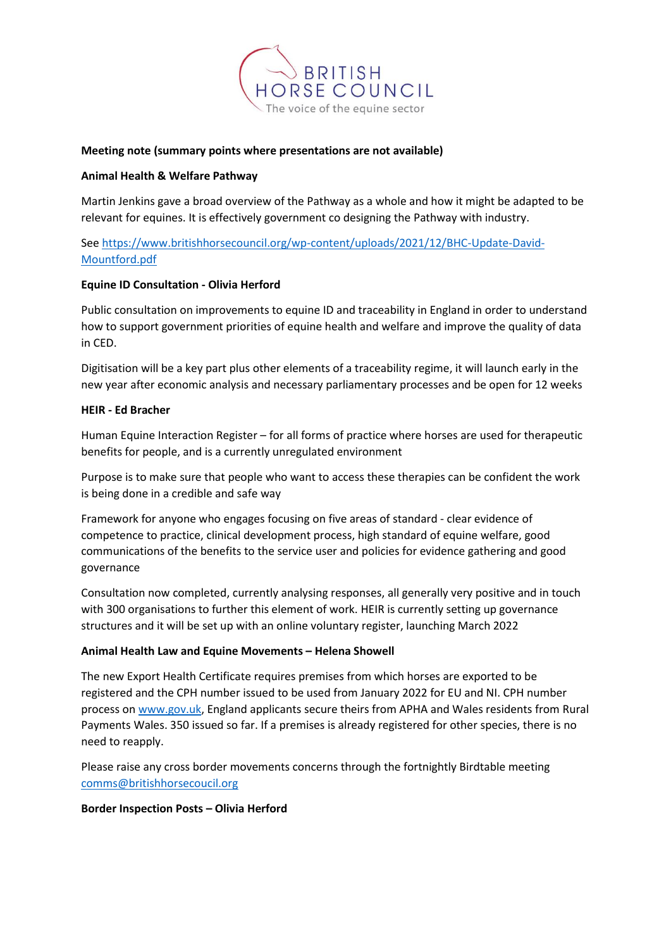

# **Meeting note (summary points where presentations are not available)**

### **Animal Health & Welfare Pathway**

Martin Jenkins gave a broad overview of the Pathway as a whole and how it might be adapted to be relevant for equines. It is effectively government co designing the Pathway with industry.

Se[e https://www.britishhorsecouncil.org/wp-content/uploads/2021/12/BHC-Update-David-](https://www.britishhorsecouncil.org/wp-content/uploads/2021/12/BHC-Update-David-Mountford.pdf)[Mountford.pdf](https://www.britishhorsecouncil.org/wp-content/uploads/2021/12/BHC-Update-David-Mountford.pdf)

# **Equine ID Consultation - Olivia Herford**

Public consultation on improvements to equine ID and traceability in England in order to understand how to support government priorities of equine health and welfare and improve the quality of data in CED.

Digitisation will be a key part plus other elements of a traceability regime, it will launch early in the new year after economic analysis and necessary parliamentary processes and be open for 12 weeks

### **HEIR - Ed Bracher**

Human Equine Interaction Register – for all forms of practice where horses are used for therapeutic benefits for people, and is a currently unregulated environment

Purpose is to make sure that people who want to access these therapies can be confident the work is being done in a credible and safe way

Framework for anyone who engages focusing on five areas of standard - clear evidence of competence to practice, clinical development process, high standard of equine welfare, good communications of the benefits to the service user and policies for evidence gathering and good governance

Consultation now completed, currently analysing responses, all generally very positive and in touch with 300 organisations to further this element of work. HEIR is currently setting up governance structures and it will be set up with an online voluntary register, launching March 2022

# **Animal Health Law and Equine Movements – Helena Showell**

The new Export Health Certificate requires premises from which horses are exported to be registered and the CPH number issued to be used from January 2022 for EU and NI. CPH number process o[n www.gov.uk,](http://www.gov.uk/) England applicants secure theirs from APHA and Wales residents from Rural Payments Wales. 350 issued so far. If a premises is already registered for other species, there is no need to reapply.

Please raise any cross border movements concerns through the fortnightly Birdtable meeting [comms@britishhorsecoucil.org](mailto:comms@britishhorsecoucil.org)

#### **Border Inspection Posts – Olivia Herford**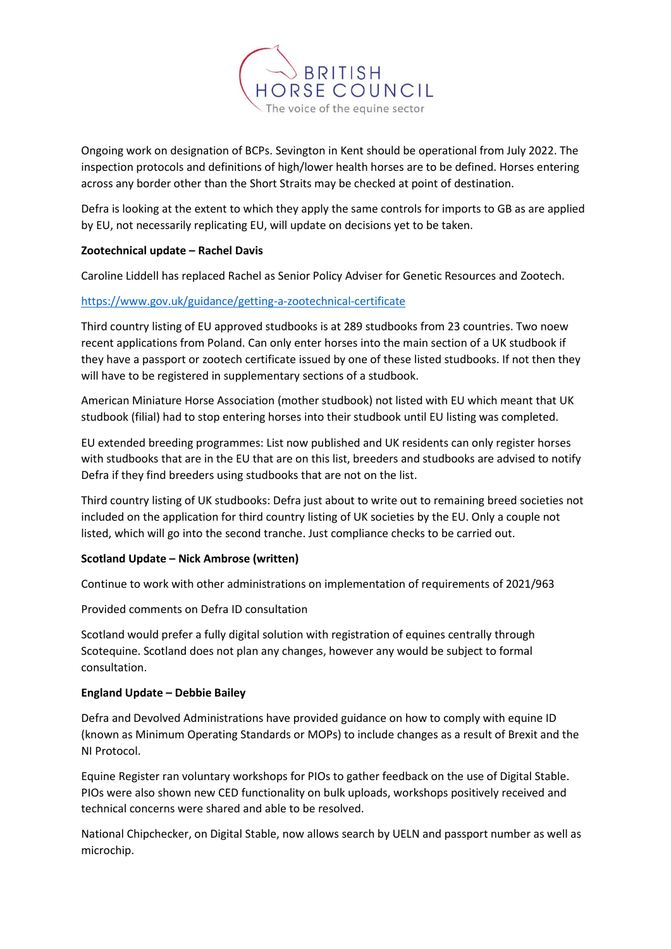

Ongoing work on designation of BCPs. Sevington in Kent should be operational from July 2022. The inspection protocols and definitions of high/lower health horses are to be defined. Horses entering across any border other than the Short Straits may be checked at point of destination.

Defra is looking at the extent to which they apply the same controls for imports to GB as are applied by EU, not necessarily replicating EU, will update on decisions yet to be taken.

# **Zootechnical update – Rachel Davis**

Caroline Liddell has replaced Rachel as Senior Policy Adviser for Genetic Resources and Zootech.

# <https://www.gov.uk/guidance/getting-a-zootechnical-certificate>

Third country listing of EU approved studbooks is at 289 studbooks from 23 countries. Two noew recent applications from Poland. Can only enter horses into the main section of a UK studbook if they have a passport or zootech certificate issued by one of these listed studbooks. If not then they will have to be registered in supplementary sections of a studbook.

American Miniature Horse Association (mother studbook) not listed with EU which meant that UK studbook (filial) had to stop entering horses into their studbook until EU listing was completed.

EU extended breeding programmes: List now published and UK residents can only register horses with studbooks that are in the EU that are on this list, breeders and studbooks are advised to notify Defra if they find breeders using studbooks that are not on the list.

Third country listing of UK studbooks: Defra just about to write out to remaining breed societies not included on the application for third country listing of UK societies by the EU. Only a couple not listed, which will go into the second tranche. Just compliance checks to be carried out.

# **Scotland Update – Nick Ambrose (written)**

Continue to work with other administrations on implementation of requirements of 2021/963

Provided comments on Defra ID consultation

Scotland would prefer a fully digital solution with registration of equines centrally through Scotequine. Scotland does not plan any changes, however any would be subject to formal consultation.

# **England Update – Debbie Bailey**

Defra and Devolved Administrations have provided guidance on how to comply with equine ID (known as Minimum Operating Standards or MOPs) to include changes as a result of Brexit and the NI Protocol.

Equine Register ran voluntary workshops for PIOs to gather feedback on the use of Digital Stable. PIOs were also shown new CED functionality on bulk uploads, workshops positively received and technical concerns were shared and able to be resolved.

National Chipchecker, on Digital Stable, now allows search by UELN and passport number as well as microchip.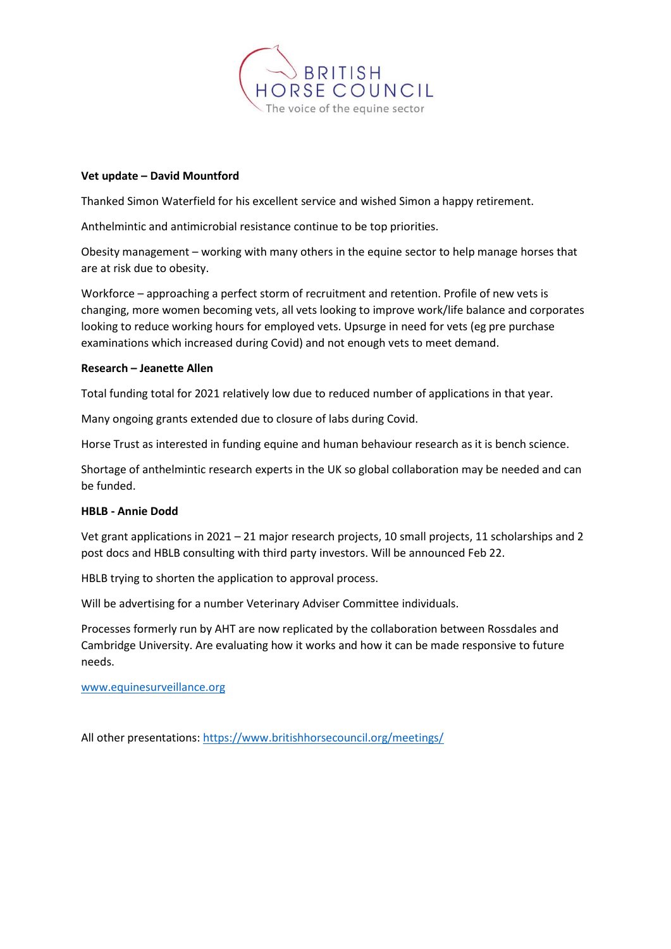

# **Vet update – David Mountford**

Thanked Simon Waterfield for his excellent service and wished Simon a happy retirement.

Anthelmintic and antimicrobial resistance continue to be top priorities.

Obesity management – working with many others in the equine sector to help manage horses that are at risk due to obesity.

Workforce – approaching a perfect storm of recruitment and retention. Profile of new vets is changing, more women becoming vets, all vets looking to improve work/life balance and corporates looking to reduce working hours for employed vets. Upsurge in need for vets (eg pre purchase examinations which increased during Covid) and not enough vets to meet demand.

### **Research – Jeanette Allen**

Total funding total for 2021 relatively low due to reduced number of applications in that year.

Many ongoing grants extended due to closure of labs during Covid.

Horse Trust as interested in funding equine and human behaviour research as it is bench science.

Shortage of anthelmintic research experts in the UK so global collaboration may be needed and can be funded.

### **HBLB - Annie Dodd**

Vet grant applications in 2021 – 21 major research projects, 10 small projects, 11 scholarships and 2 post docs and HBLB consulting with third party investors. Will be announced Feb 22.

HBLB trying to shorten the application to approval process.

Will be advertising for a number Veterinary Adviser Committee individuals.

Processes formerly run by AHT are now replicated by the collaboration between Rossdales and Cambridge University. Are evaluating how it works and how it can be made responsive to future needs.

[www.equinesurveillance.org](http://www.equinesurveillance.org/)

All other presentations:<https://www.britishhorsecouncil.org/meetings/>